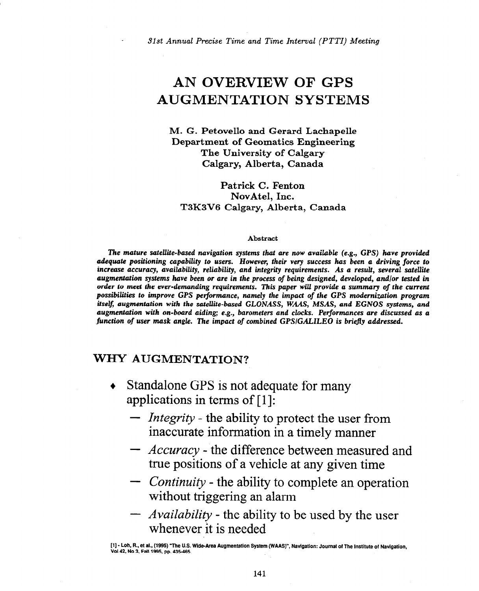*31st Annual Precise* Time and *Time Interval (PTTI) Meeting* 

# AN OVERVIEW OF GPS AUGMENTATION SYSTEMS

**M. G. Petovello and Gerard Lachapelle Department of Geomatics Engineering The University of Calgary Calgary, Alberta, Canada** 

**Patrick C. Fenton NovAtel, Inc. T3K3V6 Calgary, Alberta, Canada** 

#### **Abstract**

**The** *mature* **satellite-based navigation** *systems that* **are** *now* **available (e.g.,** *GPS) have* **provided adequate positioning capability to users.** *However,* **their very success has been a driving** *force to*  **increuse accuracy, availability, reliability,** *and* **integrity requirements. As a** *result, several satellite*  **augmentation systems have been or are in the process of being &signed, developed,** *and/or tested* **in**  *order to meet the* **ever-demanding requirements. This paper will provide a summary of the** *current*  **possibilities to improve GPS** *pelformance,* **namely** *the* **impact of the GPS modernization** *program itself, augmentation* **with the satellite-based** *GLONASS, WAAS, MSAS,* **and EGNOS** *systems, and augmentation with on-board aiding; e.g., barometers and clocks. Performances are discussed as a*  function of user mask angle. The impact of combined GPS/GALILEO is briefly addressed.

### **WHY AUGMENTATION?**

- Standalone GPS is not adequate for many  $\bullet$ applications in terms of  $[1]$ :
	- *Integrity* the ability to protect the user from inaccurate information in a timely manner
	- *Accuracy* the difference between measured and true positions of a vehicle at any given time
	- *Continuity* the ability to complete an operation without triggering an alarm
	- *Availability* the ability to be used by the user whenever it is needed

**<sup>[</sup>l] - Loh, FL, et al., (1995) "The U.S. Wide-Area Augmentation System (WAASY, Navigation: Journal of The Institute of Navigation, Vol42, No 3, Fdl1995, pp. 435-465.**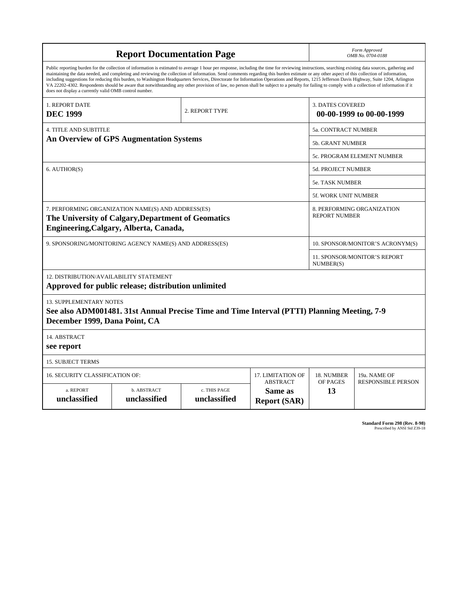| <b>Report Documentation Page</b>                                                                                                                                                                                                                                                                                                                                                                                                                                                                                                                                                                                                                                                                                                                                                                                                                                   |                             |                              |                                                     |                                           | Form Approved<br>OMB No. 0704-0188                 |  |  |
|--------------------------------------------------------------------------------------------------------------------------------------------------------------------------------------------------------------------------------------------------------------------------------------------------------------------------------------------------------------------------------------------------------------------------------------------------------------------------------------------------------------------------------------------------------------------------------------------------------------------------------------------------------------------------------------------------------------------------------------------------------------------------------------------------------------------------------------------------------------------|-----------------------------|------------------------------|-----------------------------------------------------|-------------------------------------------|----------------------------------------------------|--|--|
| Public reporting burden for the collection of information is estimated to average 1 hour per response, including the time for reviewing instructions, searching existing data sources, gathering and<br>maintaining the data needed, and completing and reviewing the collection of information. Send comments regarding this burden estimate or any other aspect of this collection of information,<br>including suggestions for reducing this burden, to Washington Headquarters Services, Directorate for Information Operations and Reports, 1215 Jefferson Davis Highway, Suite 1204, Arlington<br>VA 22202-4302. Respondents should be aware that notwithstanding any other provision of law, no person shall be subject to a penalty for failing to comply with a collection of information if it<br>does not display a currently valid OMB control number. |                             |                              |                                                     |                                           |                                                    |  |  |
| <b>1. REPORT DATE</b><br><b>DEC 1999</b>                                                                                                                                                                                                                                                                                                                                                                                                                                                                                                                                                                                                                                                                                                                                                                                                                           | 2. REPORT TYPE              |                              | <b>3. DATES COVERED</b><br>00-00-1999 to 00-00-1999 |                                           |                                                    |  |  |
| <b>4. TITLE AND SUBTITLE</b>                                                                                                                                                                                                                                                                                                                                                                                                                                                                                                                                                                                                                                                                                                                                                                                                                                       |                             |                              |                                                     |                                           | <b>5a. CONTRACT NUMBER</b>                         |  |  |
| <b>An Overview of GPS Augmentation Systems</b>                                                                                                                                                                                                                                                                                                                                                                                                                                                                                                                                                                                                                                                                                                                                                                                                                     |                             |                              |                                                     |                                           | <b>5b. GRANT NUMBER</b>                            |  |  |
|                                                                                                                                                                                                                                                                                                                                                                                                                                                                                                                                                                                                                                                                                                                                                                                                                                                                    |                             |                              |                                                     |                                           | 5c. PROGRAM ELEMENT NUMBER                         |  |  |
| 6. AUTHOR(S)                                                                                                                                                                                                                                                                                                                                                                                                                                                                                                                                                                                                                                                                                                                                                                                                                                                       |                             |                              | <b>5d. PROJECT NUMBER</b>                           |                                           |                                                    |  |  |
|                                                                                                                                                                                                                                                                                                                                                                                                                                                                                                                                                                                                                                                                                                                                                                                                                                                                    |                             |                              |                                                     |                                           | 5e. TASK NUMBER                                    |  |  |
|                                                                                                                                                                                                                                                                                                                                                                                                                                                                                                                                                                                                                                                                                                                                                                                                                                                                    |                             |                              |                                                     | 5f. WORK UNIT NUMBER                      |                                                    |  |  |
| 7. PERFORMING ORGANIZATION NAME(S) AND ADDRESS(ES)<br>The University of Calgary, Department of Geomatics<br>Engineering, Calgary, Alberta, Canada,                                                                                                                                                                                                                                                                                                                                                                                                                                                                                                                                                                                                                                                                                                                 |                             |                              |                                                     |                                           | 8. PERFORMING ORGANIZATION<br><b>REPORT NUMBER</b> |  |  |
| 9. SPONSORING/MONITORING AGENCY NAME(S) AND ADDRESS(ES)                                                                                                                                                                                                                                                                                                                                                                                                                                                                                                                                                                                                                                                                                                                                                                                                            |                             |                              | 10. SPONSOR/MONITOR'S ACRONYM(S)                    |                                           |                                                    |  |  |
|                                                                                                                                                                                                                                                                                                                                                                                                                                                                                                                                                                                                                                                                                                                                                                                                                                                                    |                             |                              |                                                     | 11. SPONSOR/MONITOR'S REPORT<br>NUMBER(S) |                                                    |  |  |
| 12. DISTRIBUTION/AVAILABILITY STATEMENT<br>Approved for public release; distribution unlimited                                                                                                                                                                                                                                                                                                                                                                                                                                                                                                                                                                                                                                                                                                                                                                     |                             |                              |                                                     |                                           |                                                    |  |  |
| <b>13. SUPPLEMENTARY NOTES</b><br>See also ADM001481. 31st Annual Precise Time and Time Interval (PTTI) Planning Meeting, 7-9<br>December 1999, Dana Point, CA                                                                                                                                                                                                                                                                                                                                                                                                                                                                                                                                                                                                                                                                                                     |                             |                              |                                                     |                                           |                                                    |  |  |
| 14. ABSTRACT<br>see report                                                                                                                                                                                                                                                                                                                                                                                                                                                                                                                                                                                                                                                                                                                                                                                                                                         |                             |                              |                                                     |                                           |                                                    |  |  |
| <b>15. SUBJECT TERMS</b>                                                                                                                                                                                                                                                                                                                                                                                                                                                                                                                                                                                                                                                                                                                                                                                                                                           |                             |                              |                                                     |                                           |                                                    |  |  |
| 17. LIMITATION OF<br>16. SECURITY CLASSIFICATION OF:                                                                                                                                                                                                                                                                                                                                                                                                                                                                                                                                                                                                                                                                                                                                                                                                               |                             |                              |                                                     | 18. NUMBER                                | 19a. NAME OF                                       |  |  |
| a. REPORT<br>unclassified                                                                                                                                                                                                                                                                                                                                                                                                                                                                                                                                                                                                                                                                                                                                                                                                                                          | b. ABSTRACT<br>unclassified | c. THIS PAGE<br>unclassified | <b>ABSTRACT</b><br>Same as<br><b>Report (SAR)</b>   | OF PAGES<br>13                            | <b>RESPONSIBLE PERSON</b>                          |  |  |

**Standard Form 298 (Rev. 8-98)**<br>Prescribed by ANSI Std Z39-18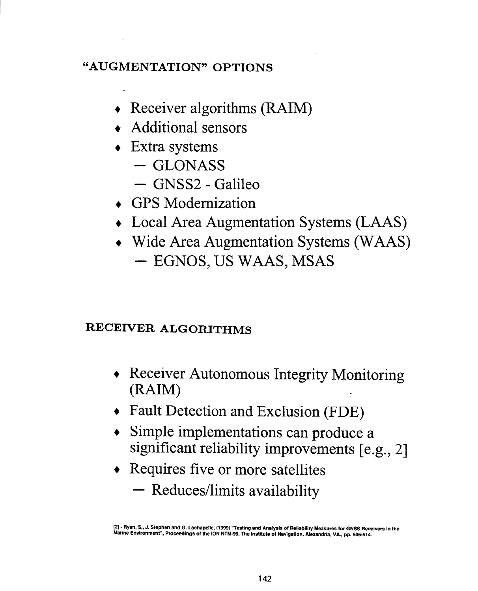## **"AUGMENTATION" OPTIONS**

- $\triangleleft$  Receiver algorithms (RAIM)
- + Additional sensors
- $\triangleleft$  Extra systems
	- $-$  GLONASS
	- GNSS2 Galileo
- + GPS Modernization
- + Local Area Augmentation Systems (LAAS)
- + Wide Area Augmentation Systems (WAAS)  $-$  EGNOS, US WAAS, MSAS

# **RECEIVER ALGORITHMS**

- Receiver Autonomous Integrity Monitoring  $(RAIM)$
- Fault Detection and Exclusion (FDE)
- Simple implementations can produce a significant reliability improvements [e.g., 21
- Requires five or more satellites
	- Reduces/limits availability

**[21- Ryan, S., J. Stephen and G. Lachapelle, (f9W) "Testing** and **Analysis of Reliability Measures for GNSS Receivers In the**  Marine Environment", Proceedings of the ION NTM-99, The Institute of Navigation, Alexandria, VA., pp. 505-514.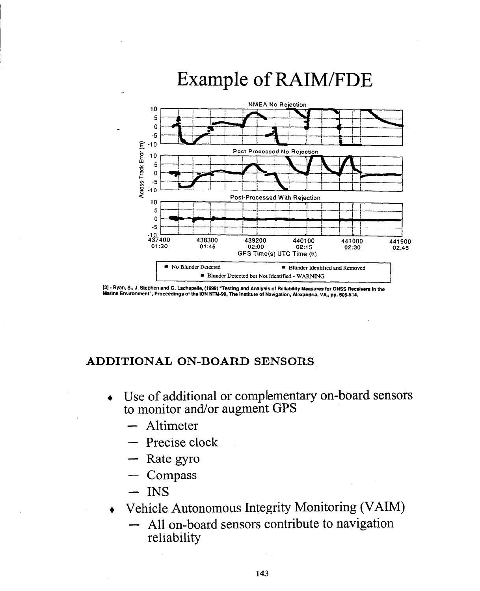

# Example of RAIM/FDE

[21- Ryan, S.. J. Stephen and G. Lachapelle, (1999) "Testing and Analysls of Reliablllty Measures for GNSS Recetvers In the Marine Environment", Proceedings of the ION NTM-99, The Institute of Navigation, Alexandria, VA., pp. 505-514.

#### **ADDITIONAL ON-BOARD SENSORS**

- + Use of additional or complementary on-board sensors to monitor and/or augment GPS
	- Altimeter
	- Precise clock
	- Rate gyro
	- Compass
	- $-$  INS
- Vehicle Autonomous Integrity Monitoring (VAIM)
	- All on-board sensors contribute to navigation reliability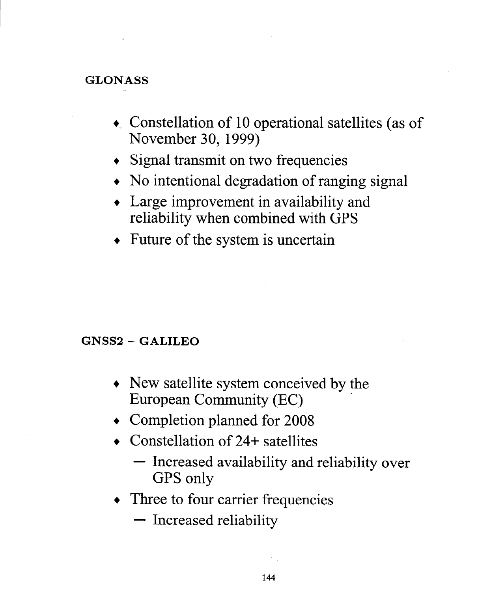### **GLONASS**

- Constellation of 10 operational satellites (as of November 30,1999)
- Signal transmit on two frequencies
- No intentional degradation of ranging signal
- Large improvement in availability and reliability when combined with GPS
- Future of the system is uncertain

### **GNSS2 - GALILEO**

- + New satellite system conceived by the European Community (EC) \_
- <sup>+</sup>Completion planned for 2008
- ◆ Constellation of 24+ satellites
	- Increased availability and reliability over GPS only
- Three to four carrier frequencies
	- Increased reliability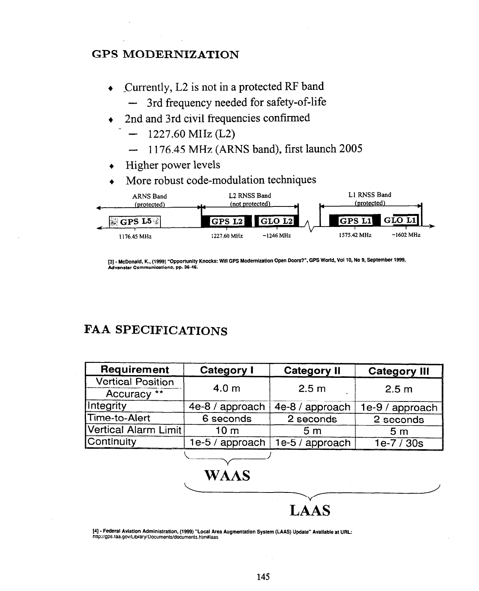#### GPS MODERNIZATION

- + Currently, L2 is not in a protected RF band
	- 3rd frequency needed for safety-of-life
- 2nd and 3rd civil frequencies confirmed
	- $1227.60 \text{ MHz (L2)}$
	- 1176.45 MHz (ARNS band), first launch 2005
- Higher power levels
- More robust code-modulation techniques



[3] - **McDonald, K., (1999) "Opportunlly Knocks: Will GPS Modernization Open Doors? \*, GPS World,** Vol **10, No 9, September 1999, Advanstar Communications, pp. 36-46.** 

## FAA SPECIFICATIONS

| Requirement              | <b>Category I</b> | <b>Category II</b> | <b>Category III</b> |  |
|--------------------------|-------------------|--------------------|---------------------|--|
| <b>Vertical Position</b> | 4.0 <sub>m</sub>  |                    |                     |  |
| Accuracy **              |                   | 2.5 <sub>m</sub>   | 2.5 <sub>m</sub>    |  |
| Integrity                | 4e-8 / approach   | 4e-8 / approach    | 1e-9 / approach     |  |
| Time-to-Alert            | 6 seconds         | 2 seconds          | 2 seconds           |  |
| Vertical Alarm Limit     | 10 <sub>m</sub>   | 5 <sub>m</sub>     | 5 <sub>m</sub>      |  |
| <b>Continuity</b>        | $1e-5/$ approach  | 1e-5 / approach    | $1e-7/30s$          |  |
|                          |                   |                    |                     |  |

**j4]- Federal Aviation Administratlon. (1999) "Local Area Augmentation System (LAAS) Updale" AvaIlable at URL: htlp~/gps.faa.gov/Library/Documents/documenls.htm#laas** 

**WAAS** 

**LAAS**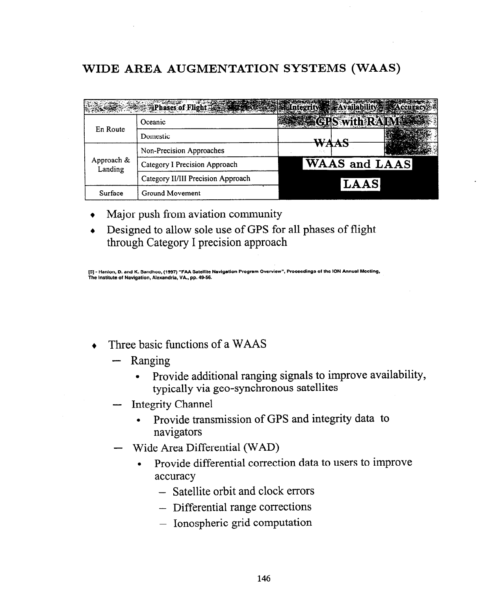# **WIDE AREA AUGMENTATION SYSTEMS (WAAS)**

|                       | Phases of Flight Company of Contract of Contract of Availability |                      |  |  |
|-----------------------|------------------------------------------------------------------|----------------------|--|--|
| En Route              | Oceanic                                                          | <b>Swith:</b>        |  |  |
|                       | Domestic                                                         |                      |  |  |
| Approach &<br>Landing | Non-Precision Approaches                                         |                      |  |  |
|                       | Category I Precision Approach                                    | <b>WAAS and LAAS</b> |  |  |
|                       | Category II/III Precision Approach                               | LAAS                 |  |  |
| Surface               | Ground Movement                                                  |                      |  |  |

- Major push from aviation community
- Designed to allow sole use of GPS for all phases of flight through Category I precision approach

**[5] - Hanlon, D. and K. Sandhoo, (1997) "FAA Satellile Navigation Program Overview", Proceedings of the ION Annual Meeting, The Institute of Navigation, Alexandria, VA, pp. 4956.** 

- $\bullet$  Three basic functions of a WAAS
	- Ranging
		- Provide additional ranging signals to improve availability, typically via geo-synchronous satellites
	- Integrity Channel
		- Provide transmission of GPS and integrity data to navigators
	- Wide Area Differential (WAD)
		- Provide differential correction data to users to improve accuracy
			- Satellite orbit and clock errors
			- Differential range corrections
			- Ionospheric grid computation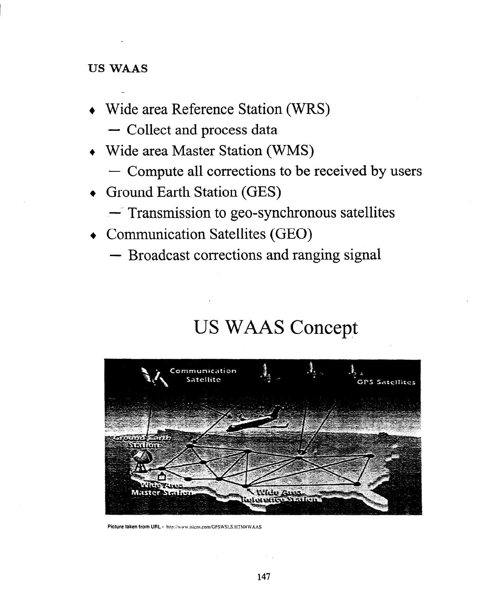#### **US WAAS**

- + Wide area Reference Station (WRS)
	- Collect and process data
- + Wide area Master Station (WMS)
	- Compute all corrections to be received by users
- + Ground Earth Station (GES)
	- -- Transmission to geo-synchronous satellites
- + Communication Satellites (GEO)
	- Broadcast corrections and ranging signal

# US WAAS Concept



Picture taken from URL - http://www.isicns.com/GPSWSLS.HTM#WAAS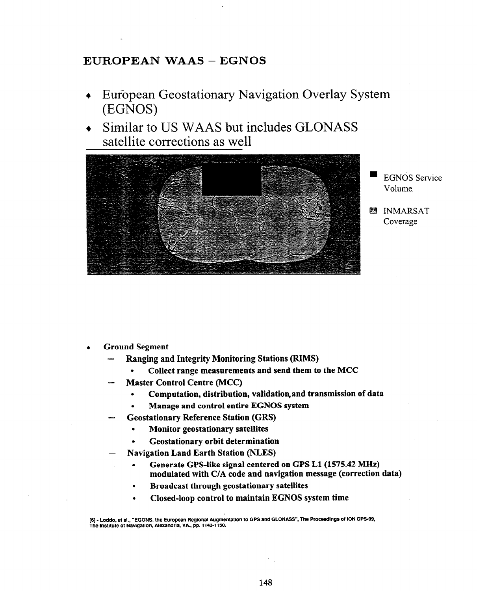#### **EUROPEAN WAAS - EGNOS**

- **+** European Geostationary Navigation Overlay System (EGNOS)
- Similar to US WAAS but includes GLONASS satellite corrections as well



- EGNOS Service Volume.
- 图 INMARSAT Coverage

- <sup>l</sup>**Ground Segment** 
	- **Ranging and Integrity Monitoring Stations (RIMS)** 
		- **. Collect range measurements and send them to the MCC**
	- **Master Control Centre (MCC)** 
		- **. Computation, distribution, validation,and transmissien of data**
		- **. Manage and control entire EGNOS system**
		- **Geostationary Reference Station (GRS)** 
			- **. Monitor geostationary satellites**
			- **. Geostationary orbit determination**
	- **Navigation Land Earth Station (NLES)** 
		- Generate GPS-like signal centered on GPS L1 (1575.42 MHz) **modulated with C/A code and navigation message (correction data)**
		- **. Broadcast through geostationary satellites**
		- **. Closed-loop control to maintain EGNOS system time**

**<sup>[6] -</sup> Loddo. et al., 'EGONS, the European Regional Augmentation to GPS and GLONASS", The Proceedings of ION GPS-99, The lnslitute of Navigation, Alexandria, VA, pp. 1143-1150.**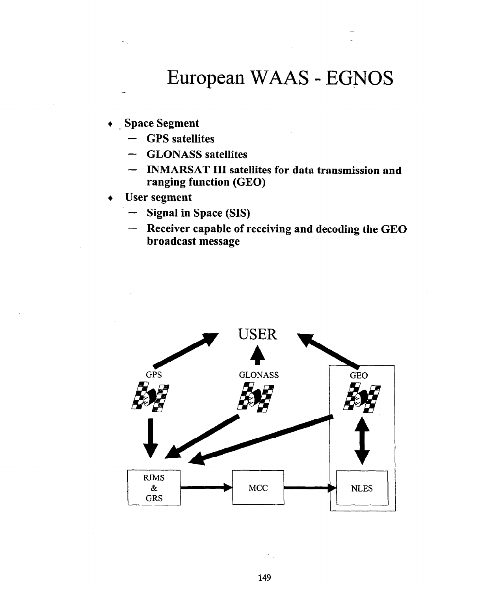# European WAAS - EGNOS

**+ \_ Space Segment** 

-

- **GPS satellites**
- **GLONASS satellites**
- **INMARSAT III satellites for data transmission and ranging function (GEO)**
- **+ User segment** 
	- **Signal in Space (SIS)**
	- **Receiver capable of receiving and decoding the GE0 broadcast message**

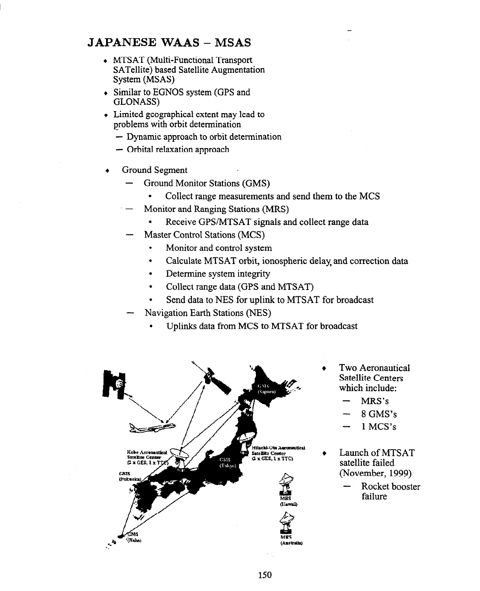#### **JAPANESE WAAS - MSAS**

- MTSAT (Multi-Functional Transport SATellite) based Satellite Augmentation System (MSAS)
- Similar to EGNOS system (GPS and GLONASS)
- Limited geographical extent may lead to problems with orbit determination
	- Dynamic approach to orbit determination
	- Orbital relaxation approach
- Ground Segment
	- Ground Monitor Stations (GMS)
		- . Collect range measurements and send them to the MCS
	- Monitor and Ranging Stations (MRS)
		- Receive GPS/MTSAT signals and collect range data
	- Master Control Stations (MCS)
		- . Monitor and control system
		- . Calculate MTSAT orbit, ionospheric delay and correction data
		- . Determine system integrity
		- Collect range data (GPS and MTSAT)
		- . Send data to NES for uplink to MTSAT for broadcast
	- Navigation Earth Stations (NES)
		- . Uplinks data from MCS to MTSAT for broadcast



- Two Aeronautical Satellite Centers which include:
	- MRS's
	- 8 GMS's
	- 1 MCS's
- <sup>l</sup>Launch of MTSAT satellite failed (November, 1999)
	- Rocket booster failure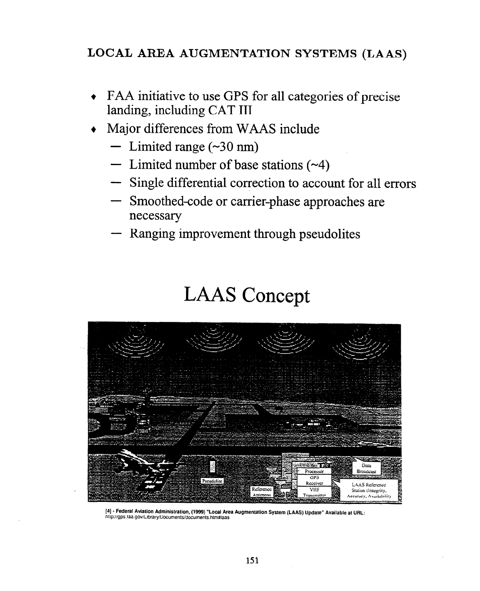## **LOCAL AREA AUGMENTATION SYSTEMS (LAAS)**

- + FAA initiative to use GPS for all categories of precise landing, including CAT III
- + Major differences from WAAS include
	- $-$  Limited range (~30 nm)
	- $-$  Limited number of base stations  $(\sim 4)$
	- Single differential correction to account for all errors
	- Smoothed-code or carrier-phase approaches are necessary
	- Ranging improvement through pseudolites

# **LAAS** Concept



**[4]- Federal Aviation Administration, (1999) "Local Area Augmentation System (LAAS) update" Available at** URL: http~/gps.iaa.gov/Library/Documents/documenls.htm#iaas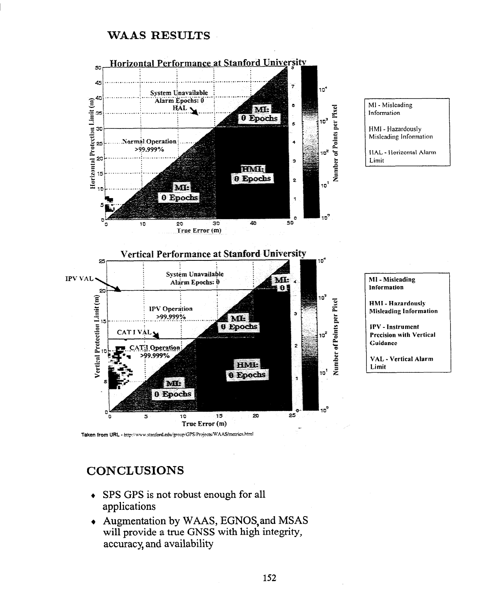#### WAAS RESULTS



Taken from URL - http://www.stanford.edu/group/GPS/Projects/WAAS/metrics.html

#### **CONCLUSIONS**

- + SPS GPS is not robust enough for all applications
- + Augmentation by WAAS, EGNOS,and MSAS will provide a true GNSS with high integrity, accuracy, and availability